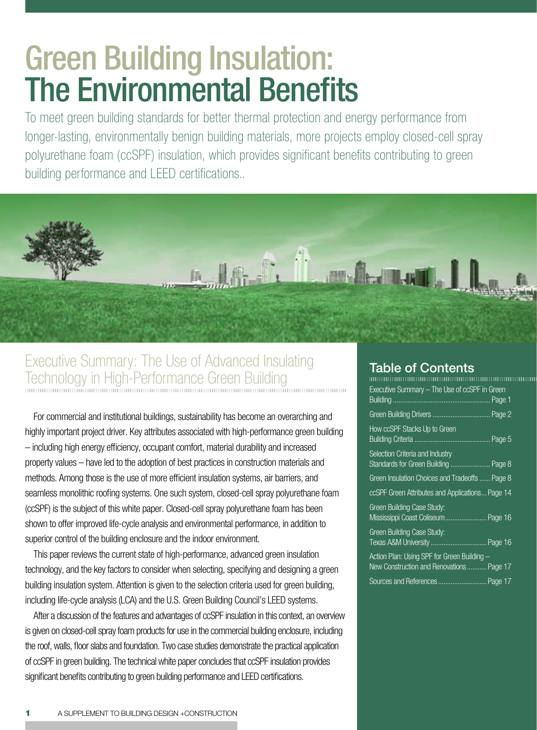# **Green Building Insulation: The Environmental Benefits**

To meet green building standards for better thermal protection and energy performance from longer-lasting, environmentally benign building materials, more projects employ closed-cell spray polyurethane foam (ccSPF) insulation, which provides significant benefits contributing to green building performance and LEED certifications..



# Executive Summary: The Use of Advanced Insulating Technology in High-Performance Green Building

For commercial and institutional buildings, sustainability has become an overarching and highly important project driver. Key attributes associated with high-performance green building - including high energy efficiency, occupant comfort, material durability and increased property values - have led to the adoption of best practices in construction materials and methods. Among those is the use of more efficient insulation systems, air barriers, and seamless monolithic roofing systems. One such system, closed-cell spray polyurethane foam (ccSPF) is the subject of this white paper. Closed-cell spray polyurethane foam has been shown to offer improved life-cycle analysis and environmental performance, in addition to superior control of the building enclosure and the indoor environment.

This paper reviews the current state of high-performance, advanced green insulation technology, and the key factors to consider when selecting, specifying and designing a green building insulation system. Attention is given to the selection criteria used for green building, including life-cycle analysis (LCA) and the U.S. Green Building Council's LEED systems.

After a discussion of the features and advantages of ccSPF insulation in this context, an overview is given on closed-cell spray foam products for use in the commercial building enclosure, including the roof, walls, floor slabs and foundation. Two case studies demonstrate the practical application of ccSPF in green building. The technical white paper concludes that ccSPF insulation provides significant benefits contributing to green building performance and LEED certifications.

### **Table of Contents**

| Executive Summary – The Use of ccSPF in Green                                           |
|-----------------------------------------------------------------------------------------|
| Green Building Drivers  Page 2                                                          |
| How ccSPF Stacks Up to Green                                                            |
| Selection Criteria and Industry<br>Standards for Green Building  Page 8                 |
| Green Insulation Choices and Tradeoffs  Page 8                                          |
| ccSPF Green Attributes and Applications Page 14                                         |
| Green Building Case Study:<br>Mississippi Coast Coliseum Page 16                        |
| Green Building Case Study:<br>Texas A&M University  Page 16                             |
| Action Plan: Using SPF for Green Building -<br>New Construction and Renovations Page 17 |
| Sources and References  Page 17                                                         |
|                                                                                         |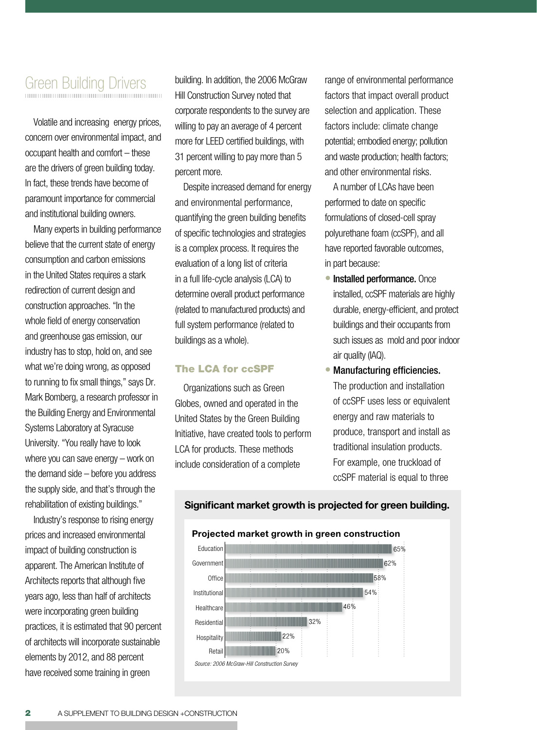# Green Building Drivers

Volatile and increasing energy prices, concern over environmental impact, and

occupant health and comfort – these are the drivers of green building today. In fact, these trends have become of paramount importance for commercial and institutional building owners.

Many experts in building performance believe that the current state of energy consumption and carbon emissions in the United States requires a stark redirection of current design and construction approaches. "In the whole field of energy conservation and greenhouse gas emission, our industry has to stop, hold on, and see what we're doing wrong, as opposed to running to fix small things," says Dr. Mark Bomberg, a research professor in the Building Energy and Environmental Systems Laboratory at Syracuse University. "You really have to look where you can save energy – work on the demand side – before you address the supply side, and that's through the rehabilitation of existing buildings."

Industry's response to rising energy prices and increased environmental impact of building construction is apparent. The American Institute of Architects reports that although five years ago, less than half of architects were incorporating green building practices, it is estimated that 90 percent of architects will incorporate sustainable elements by 2012, and 88 percent have received some training in green

building. In addition, the 2006 McGraw Hill Construction Survey noted that corporate respondents to the survey are willing to pay an average of 4 percent more for LEED certified buildings, with 31 percent willing to pay more than 5 percent more.

Despite increased demand for energy and environmental performance, quantifying the green building benefits of specific technologies and strategies is a complex process. It requires the evaluation of a long list of criteria in a full life-cycle analysis (LCA) to determine overall product performance (related to manufactured products) and full system performance (related to buildings as a whole).

#### The LCA for ccSPF

Organizations such as Green Globes, owned and operated in the United States by the Green Building Initiative, have created tools to perform LCA for products. These methods include consideration of a complete

range of environmental performance factors that impact overall product selection and application. These factors include: climate change potential; embodied energy; pollution and waste production; health factors; and other environmental risks.

A number of LCAs have been performed to date on specific formulations of closed-cell spray polyurethane foam (ccSPF), and all have reported favorable outcomes, in part because:

- Installed performance. Once installed, ccSPF materials are highly durable, energy-efficient, and protect buildings and their occupants from such issues as mold and poor indoor air quality (IAQ).
- Manufacturing efficiencies. The production and installation of ccSPF uses less or equivalent energy and raw materials to produce, transport and install as traditional insulation products. For example, one truckload of ccSPF material is equal to three



#### **Significant market growth is projected for green building.**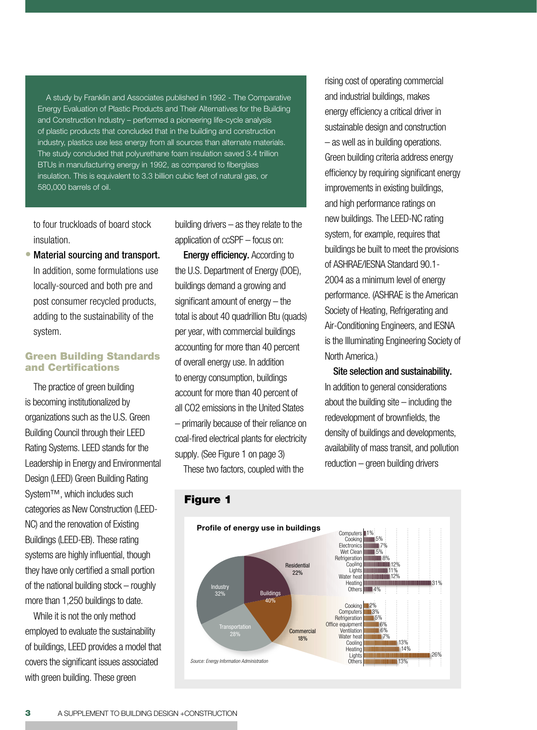A study by Franklin and Associates published in 1992 - The Comparative Energy Evaluation of Plastic Products and Their Alternatives for the Building and Construction Industry – performed a pioneering life-cycle analysis of plastic products that concluded that in the building and construction industry, plastics use less energy from all sources than alternate materials. The study concluded that polyurethane foam insulation saved 3.4 trillion BTUs in manufacturing energy in 1992, as compared to fiberglass insulation. This is equivalent to 3.3 billion cubic feet of natural gas, or 580,000 barrels of oil.

to four truckloads of board stock insulation.

Material sourcing and transport. In addition, some formulations use locally-sourced and both pre and post consumer recycled products, adding to the sustainability of the system. •

#### Green Building Standards and Certifications

The practice of green building is becoming institutionalized by organizations such as the U.S. Green Building Council through their LEED Rating Systems. LEED stands for the Leadership in Energy and Environmental Design (LEED) Green Building Rating System™, which includes such categories as New Construction (LEED-NC) and the renovation of Existing Buildings (LEED-EB). These rating systems are highly influential, though they have only certified a small portion of the national building stock – roughly more than 1,250 buildings to date.

While it is not the only method employed to evaluate the sustainability of buildings, LEED provides a model that covers the significant issues associated with green building. These green

building drivers – as they relate to the application of ccSPF – focus on: **Energy efficiency.** According to the U.S. Department of Energy (DOE), buildings demand a growing and significant amount of energy – the total is about 40 quadrillion Btu (quads) per year, with commercial buildings accounting for more than 40 percent of overall energy use. In addition to energy consumption, buildings account for more than 40 percent of all CO2 emissions in the United States – primarily because of their reliance on coal-fired electrical plants for electricity supply. (See Figure 1 on page 3)

These two factors, coupled with the

rising cost of operating commercial and industrial buildings, makes energy efficiency a critical driver in sustainable design and construction – as well as in building operations. Green building criteria address energy efficiency by requiring significant energy improvements in existing buildings, and high performance ratings on new buildings. The LEED-NC rating system, for example, requires that buildings be built to meet the provisions of ASHRAE/IESNA Standard 90.1- 2004 as a minimum level of energy performance. (ASHRAE is the American Society of Heating, Refrigerating and Air-Conditioning Engineers, and IESNA is the Illuminating Engineering Society of North America.)

Site selection and sustainability. In addition to general considerations about the building site  $-$  including the redevelopment of brownfields, the density of buildings and developments, availability of mass transit, and pollution reduction – green building drivers



Figure 1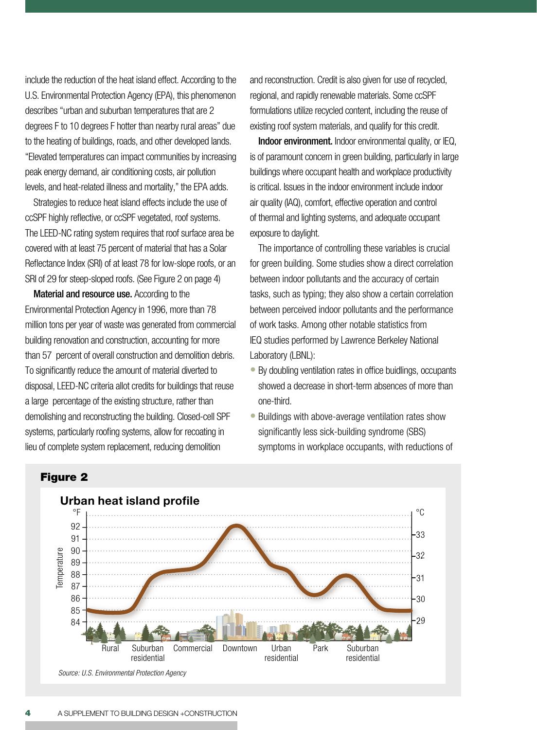include the reduction of the heat island effect. According to the U.S. Environmental Protection Agency (EPA), this phenomenon describes "urban and suburban temperatures that are 2 degrees F to 10 degrees F hotter than nearby rural areas" due to the heating of buildings, roads, and other developed lands. "Elevated temperatures can impact communities by increasing peak energy demand, air conditioning costs, air pollution levels, and heat-related illness and mortality," the EPA adds.

Strategies to reduce heat island effects include the use of ccSPF highly reflective, or ccSPF vegetated, roof systems. The LEED-NC rating system requires that roof surface area be covered with at least 75 percent of material that has a Solar Reflectance Index (SRI) of at least 78 for low-slope roofs, or an SRI of 29 for steep-sloped roofs. (See Figure 2 on page 4)

Material and resource use. According to the Environmental Protection Agency in 1996, more than 78 million tons per year of waste was generated from commercial building renovation and construction, accounting for more than 57 percent of overall construction and demolition debris. To significantly reduce the amount of material diverted to disposal, LEED-NC criteria allot credits for buildings that reuse a large percentage of the existing structure, rather than demolishing and reconstructing the building. Closed-cell SPF systems, particularly roofing systems, allow for recoating in lieu of complete system replacement, reducing demolition

and reconstruction. Credit is also given for use of recycled, regional, and rapidly renewable materials. Some ccSPF formulations utilize recycled content, including the reuse of existing roof system materials, and qualify for this credit.

Indoor environment. Indoor environmental quality, or IEQ, is of paramount concern in green building, particularly in large buildings where occupant health and workplace productivity is critical. Issues in the indoor environment include indoor air quality (IAQ), comfort, effective operation and control of thermal and lighting systems, and adequate occupant exposure to daylight.

The importance of controlling these variables is crucial for green building. Some studies show a direct correlation between indoor pollutants and the accuracy of certain tasks, such as typing; they also show a certain correlation between perceived indoor pollutants and the performance of work tasks. Among other notable statistics from IEQ studies performed by Lawrence Berkeley National Laboratory (LBNL):

- By doubling ventilation rates in office buidlings, occupants showed a decrease in short-term absences of more than one-third.
- Buildings with above-average ventilation rates show significantly less sick-building syndrome (SBS) symptoms in workplace occupants, with reductions of



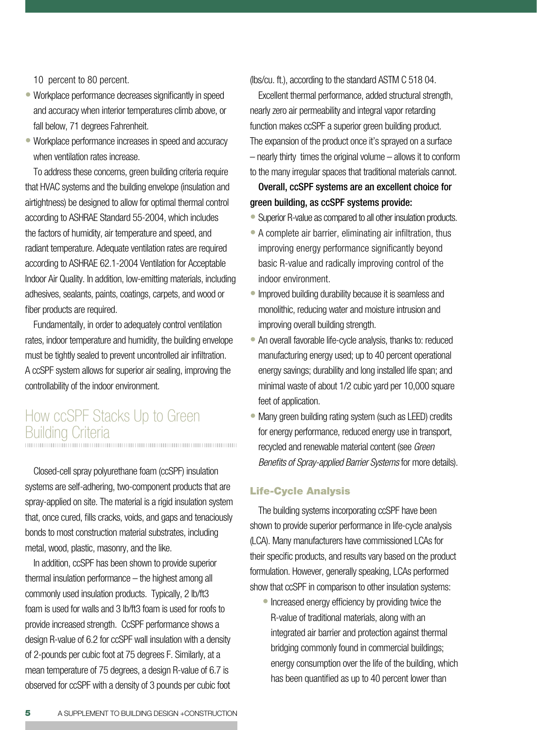10 percent to 80 percent.

- Workplace performance decreases significantly in speed and accuracy when interior temperatures climb above, or fall below, 71 degrees Fahrenheit.
- Workplace performance increases in speed and accuracy when ventilation rates increase.

To address these concerns, green building criteria require that HVAC systems and the building envelope (insulation and airtightness) be designed to allow for optimal thermal control according to ASHRAE Standard 55-2004, which includes the factors of humidity, air temperature and speed, and radiant temperature. Adequate ventilation rates are required according to ASHRAE 62.1-2004 Ventilation for Acceptable Indoor Air Quality. In addition, low-emitting materials, including adhesives, sealants, paints, coatings, carpets, and wood or fiber products are required.

Fundamentally, in order to adequately control ventilation rates, indoor temperature and humidity, the building envelope must be tightly sealed to prevent uncontrolled air infiltration. A ccSPF system allows for superior air sealing, improving the controllability of the indoor environment.

### How ccSPF Stacks Up to Green Building Criteria

Closed-cell spray polyurethane foam (ccSPF) insulation systems are self-adhering, two-component products that are spray-applied on site. The material is a rigid insulation system that, once cured, fills cracks, voids, and gaps and tenaciously bonds to most construction material substrates, including metal, wood, plastic, masonry, and the like.

In addition, ccSPF has been shown to provide superior thermal insulation performance – the highest among all commonly used insulation products. Typically, 2 lb/ft3 foam is used for walls and 3 lb/ft3 foam is used for roofs to provide increased strength. CcSPF performance shows a design R-value of 6.2 for ccSPF wall insulation with a density of 2-pounds per cubic foot at 75 degrees F. Similarly, at a mean temperature of 75 degrees, a design R-value of 6.7 is observed for ccSPF with a density of 3 pounds per cubic foot (lbs/cu. ft.), according to the standard ASTM C 518 04.

Excellent thermal performance, added structural strength, nearly zero air permeability and integral vapor retarding function makes ccSPF a superior green building product. The expansion of the product once it's sprayed on a surface – nearly thirty times the original volume – allows it to conform to the many irregular spaces that traditional materials cannot.

### Overall, ccSPF systems are an excellent choice for green building, as ccSPF systems provide:

- Superior R-value as compared to all other insulation products.
- A complete air barrier, eliminating air infiltration, thus improving energy performance significantly beyond basic R-value and radically improving control of the indoor environment.
- Improved building durability because it is seamless and monolithic, reducing water and moisture intrusion and improving overall building strength.
- An overall favorable life-cycle analysis, thanks to: reduced manufacturing energy used; up to 40 percent operational energy savings; durability and long installed life span; and minimal waste of about 1/2 cubic yard per 10,000 square feet of application.
- Many green building rating system (such as LEED) credits for energy performance, reduced energy use in transport, recycled and renewable material content (see *Green Benefits of Spray-applied Barrier Systems* for more details).

#### Life-Cycle Analysis

The building systems incorporating ccSPF have been shown to provide superior performance in life-cycle analysis (LCA). Many manufacturers have commissioned LCAs for their specific products, and results vary based on the product formulation. However, generally speaking, LCAs performed show that ccSPF in comparison to other insulation systems:

• Increased energy efficiency by providing twice the R-value of traditional materials, along with an integrated air barrier and protection against thermal bridging commonly found in commercial buildings; energy consumption over the life of the building, which has been quantified as up to 40 percent lower than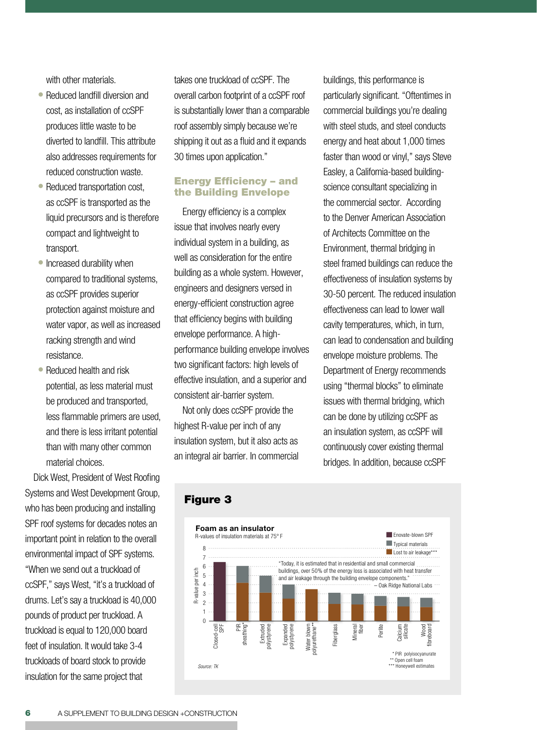with other materials.

- Reduced landfill diversion and cost, as installation of ccSPF produces little waste to be diverted to landfill. This attribute also addresses requirements for reduced construction waste.
- Reduced transportation cost, as ccSPF is transported as the liquid precursors and is therefore compact and lightweight to transport.
- Increased durability when compared to traditional systems, as ccSPF provides superior protection against moisture and water vapor, as well as increased racking strength and wind resistance.
- Reduced health and risk potential, as less material must be produced and transported, less flammable primers are used, and there is less irritant potential than with many other common material choices.

Dick West, President of West Roofing Systems and West Development Group, who has been producing and installing SPF roof systems for decades notes an important point in relation to the overall environmental impact of SPF systems. "When we send out a truckload of ccSPF," says West, "it's a truckload of drums. Let's say a truckload is 40,000 pounds of product per truckload. A truckload is equal to 120,000 board feet of insulation. It would take 3-4 truckloads of board stock to provide insulation for the same project that

takes one truckload of ccSPF. The overall carbon footprint of a ccSPF roof is substantially lower than a comparable roof assembly simply because we're shipping it out as a fluid and it expands 30 times upon application."

#### Energy Efficiency – and the Building Envelope

Energy efficiency is a complex issue that involves nearly every individual system in a building, as well as consideration for the entire building as a whole system. However, engineers and designers versed in energy-efficient construction agree that efficiency begins with building envelope performance. A highperformance building envelope involves two significant factors: high levels of effective insulation, and a superior and consistent air-barrier system.

Not only does ccSPF provide the highest R-value per inch of any insulation system, but it also acts as an integral air barrier. In commercial

buildings, this performance is particularly significant. "Oftentimes in commercial buildings you're dealing with steel studs, and steel conducts energy and heat about 1,000 times faster than wood or vinyl," says Steve Easley, a California-based buildingscience consultant specializing in the commercial sector. According to the Denver American Association of Architects Committee on the Environment, thermal bridging in steel framed buildings can reduce the effectiveness of insulation systems by 30-50 percent. The reduced insulation effectiveness can lead to lower wall cavity temperatures, which, in turn, can lead to condensation and building envelope moisture problems. The Department of Energy recommends using "thermal blocks" to eliminate issues with thermal bridging, which can be done by utilizing ccSPF as an insulation system, as ccSPF will continuously cover existing thermal bridges. In addition, because ccSPF



### Figure 3

#### 6 A SUPPLEMENT TO BUILDING DESIGN +CONSTRUCTION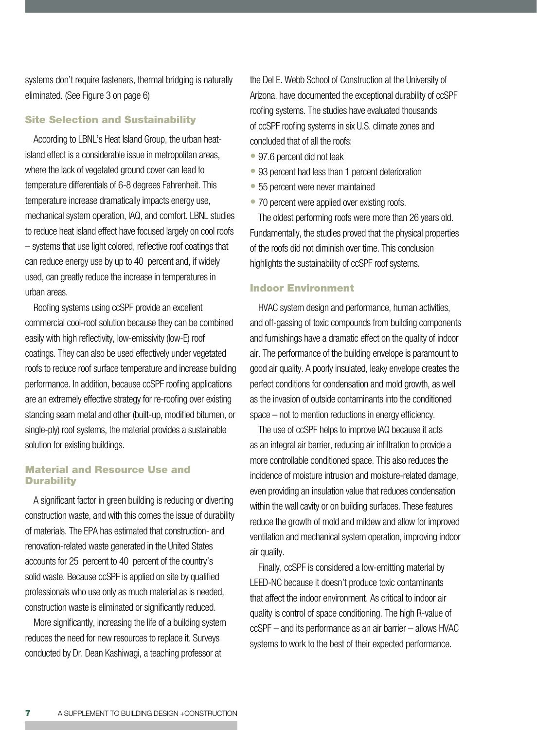systems don't require fasteners, thermal bridging is naturally eliminated. (See Figure 3 on page 6)

#### Site Selection and Sustainability

According to LBNL's Heat Island Group, the urban heatisland effect is a considerable issue in metropolitan areas, where the lack of vegetated ground cover can lead to temperature differentials of 6-8 degrees Fahrenheit. This temperature increase dramatically impacts energy use, mechanical system operation, IAQ, and comfort. LBNL studies to reduce heat island effect have focused largely on cool roofs – systems that use light colored, reflective roof coatings that can reduce energy use by up to 40 percent and, if widely used, can greatly reduce the increase in temperatures in urban areas.

Roofing systems using ccSPF provide an excellent commercial cool-roof solution because they can be combined easily with high reflectivity, low-emissivity (low-E) roof coatings. They can also be used effectively under vegetated roofs to reduce roof surface temperature and increase building performance. In addition, because ccSPF roofing applications are an extremely effective strategy for re-roofing over existing standing seam metal and other (built-up, modified bitumen, or single-ply) roof systems, the material provides a sustainable solution for existing buildings.

#### Material and Resource Use and **Durability**

A significant factor in green building is reducing or diverting construction waste, and with this comes the issue of durability of materials. The EPA has estimated that construction- and renovation-related waste generated in the United States accounts for 25 percent to 40 percent of the country's solid waste. Because ccSPF is applied on site by qualified professionals who use only as much material as is needed, construction waste is eliminated or significantly reduced.

More significantly, increasing the life of a building system reduces the need for new resources to replace it. Surveys conducted by Dr. Dean Kashiwagi, a teaching professor at

the Del E. Webb School of Construction at the University of Arizona, have documented the exceptional durability of ccSPF roofing systems. The studies have evaluated thousands of ccSPF roofing systems in six U.S. climate zones and concluded that of all the roofs:

- 97.6 percent did not leak
- 93 percent had less than 1 percent deterioration
- 55 percent were never maintained
- 70 percent were applied over existing roofs.

The oldest performing roofs were more than 26 years old. Fundamentally, the studies proved that the physical properties of the roofs did not diminish over time. This conclusion highlights the sustainability of ccSPF roof systems.

#### Indoor Environment

HVAC system design and performance, human activities, and off-gassing of toxic compounds from building components and furnishings have a dramatic effect on the quality of indoor air. The performance of the building envelope is paramount to good air quality. A poorly insulated, leaky envelope creates the perfect conditions for condensation and mold growth, as well as the invasion of outside contaminants into the conditioned space – not to mention reductions in energy efficiency.

The use of ccSPF helps to improve IAQ because it acts as an integral air barrier, reducing air infiltration to provide a more controllable conditioned space. This also reduces the incidence of moisture intrusion and moisture-related damage, even providing an insulation value that reduces condensation within the wall cavity or on building surfaces. These features reduce the growth of mold and mildew and allow for improved ventilation and mechanical system operation, improving indoor air quality.

Finally, ccSPF is considered a low-emitting material by LEED-NC because it doesn't produce toxic contaminants that affect the indoor environment. As critical to indoor air quality is control of space conditioning. The high R-value of ccSPF – and its performance as an air barrier – allows HVAC systems to work to the best of their expected performance.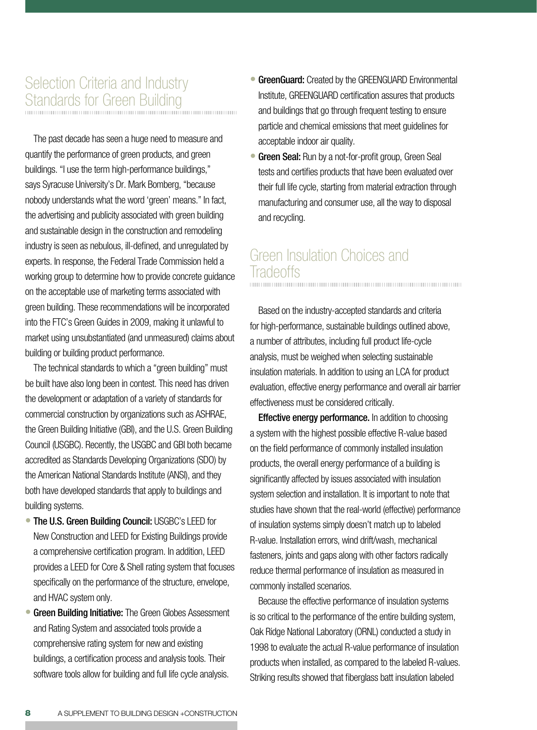# Selection Criteria and Industry Standards for Green Building

The past decade has seen a huge need to measure and quantify the performance of green products, and green buildings. "I use the term high-performance buildings," says Syracuse University's Dr. Mark Bomberg, "because nobody understands what the word 'green' means." In fact, the advertising and publicity associated with green building and sustainable design in the construction and remodeling industry is seen as nebulous, ill-defined, and unregulated by experts. In response, the Federal Trade Commission held a working group to determine how to provide concrete guidance on the acceptable use of marketing terms associated with green building. These recommendations will be incorporated into the FTC's Green Guides in 2009, making it unlawful to market using unsubstantiated (and unmeasured) claims about building or building product performance.

The technical standards to which a "green building" must be built have also long been in contest. This need has driven the development or adaptation of a variety of standards for commercial construction by organizations such as ASHRAE, the Green Building Initiative (GBI), and the U.S. Green Building Council (USGBC). Recently, the USGBC and GBI both became accredited as Standards Developing Organizations (SDO) by the American National Standards Institute (ANSI), and they both have developed standards that apply to buildings and building systems.

- **The U.S. Green Building Council: USGBC's LEED for** New Construction and LEED for Existing Buildings provide a comprehensive certification program. In addition, LEED provides a LEED for Core & Shell rating system that focuses specifically on the performance of the structure, envelope, and HVAC system only.
- Green Building Initiative: The Green Globes Assessment and Rating System and associated tools provide a comprehensive rating system for new and existing buildings, a certification process and analysis tools. Their software tools allow for building and full life cycle analysis. •
- **GreenGuard:** Created by the GREENGUARD Environmental Institute, GREENGUARD certification assures that products and buildings that go through frequent testing to ensure particle and chemical emissions that meet guidelines for acceptable indoor air quality.
- **Green Seal:** Run by a not-for-profit group, Green Seal tests and certifies products that have been evaluated over their full life cycle, starting from material extraction through manufacturing and consumer use, all the way to disposal and recycling.

# Green Insulation Choices and Iradeoffs

Based on the industry-accepted standards and criteria for high-performance, sustainable buildings outlined above, a number of attributes, including full product life-cycle analysis, must be weighed when selecting sustainable insulation materials. In addition to using an LCA for product evaluation, effective energy performance and overall air barrier effectiveness must be considered critically.

**Effective energy performance.** In addition to choosing a system with the highest possible effective R-value based on the field performance of commonly installed insulation products, the overall energy performance of a building is significantly affected by issues associated with insulation system selection and installation. It is important to note that studies have shown that the real-world (effective) performance of insulation systems simply doesn't match up to labeled R-value. Installation errors, wind drift/wash, mechanical fasteners, joints and gaps along with other factors radically reduce thermal performance of insulation as measured in commonly installed scenarios.

Because the effective performance of insulation systems is so critical to the performance of the entire building system, Oak Ridge National Laboratory (ORNL) conducted a study in 1998 to evaluate the actual R-value performance of insulation products when installed, as compared to the labeled R-values. Striking results showed that fiberglass batt insulation labeled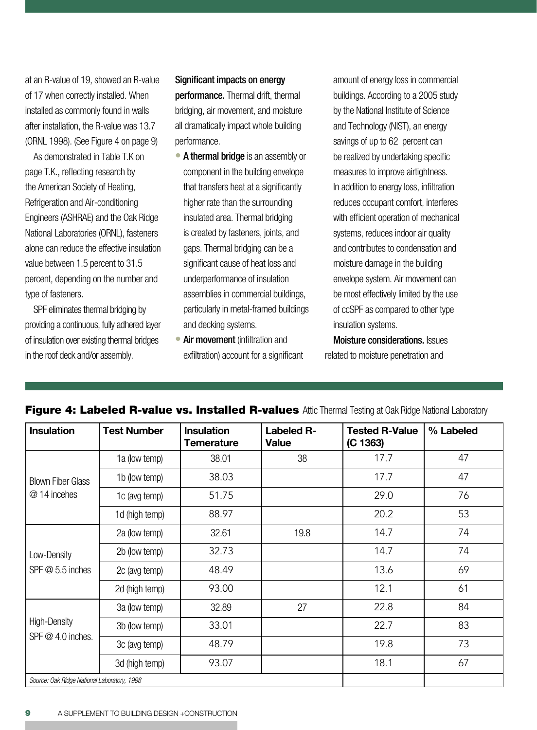at an R-value of 19, showed an R-value of 17 when correctly installed. When installed as commonly found in walls after installation, the R-value was 13.7 (ORNL 1998). (See Figure 4 on page 9)

As demonstrated in Table T.K on page T.K., reflecting research by the American Society of Heating, Refrigeration and Air-conditioning Engineers (ASHRAE) and the Oak Ridge National Laboratories (ORNL), fasteners alone can reduce the effective insulation value between 1.5 percent to 31.5 percent, depending on the number and type of fasteners.

SPF eliminates thermal bridging by providing a continuous, fully adhered layer of insulation over existing thermal bridges in the roof deck and/or assembly.

#### Significant impacts on energy

performance. Thermal drift, thermal bridging, air movement, and moisture all dramatically impact whole building performance.

- A thermal bridge is an assembly or component in the building envelope that transfers heat at a significantly higher rate than the surrounding insulated area. Thermal bridging is created by fasteners, joints, and gaps. Thermal bridging can be a significant cause of heat loss and underperformance of insulation assemblies in commercial buildings, particularly in metal-framed buildings and decking systems.
- Air movement (infiltration and exfiltration) account for a significant

amount of energy loss in commercial buildings. According to a 2005 study by the National Institute of Science and Technology (NIST), an energy savings of up to 62 percent can be realized by undertaking specific measures to improve airtightness. In addition to energy loss, infiltration reduces occupant comfort, interferes with efficient operation of mechanical systems, reduces indoor air quality and contributes to condensation and moisture damage in the building envelope system. Air movement can be most effectively limited by the use of ccSPF as compared to other type insulation systems.

Moisture considerations. Issues related to moisture penetration and

| <b>Insulation</b>                           | <b>Test Number</b> | <b>Insulation</b><br>Temerature | <b>Labeled R-</b><br><b>Value</b> | <b>Tested R-Value</b><br>(C 1363) | % Labeled |
|---------------------------------------------|--------------------|---------------------------------|-----------------------------------|-----------------------------------|-----------|
| <b>Blown Fiber Glass</b><br>@ 14 incehes    | 1a (low temp)      | 38.01                           | 38                                | 17.7                              | 47        |
|                                             | 1b (low temp)      | 38.03                           |                                   | 17.7                              | 47        |
|                                             | 1c (avg temp)      | 51.75                           |                                   | 29.0                              | 76        |
|                                             | 1d (high temp)     | 88.97                           |                                   | 20.2                              | 53        |
| Low-Density<br>SPF $@$ 5.5 inches           | 2a (low temp)      | 32.61                           | 19.8                              | 14.7                              | 74        |
|                                             | 2b (low temp)      | 32.73                           |                                   | 14.7                              | 74        |
|                                             | 2c (avg temp)      | 48.49                           |                                   | 13.6                              | 69        |
|                                             | 2d (high temp)     | 93.00                           |                                   | 12.1                              | 61        |
| High-Density<br>SPF $@$ 4.0 inches.         | 3a (low temp)      | 32.89                           | 27                                | 22.8                              | 84        |
|                                             | 3b (low temp)      | 33.01                           |                                   | 22.7                              | 83        |
|                                             | 3c (avg temp)      | 48.79                           |                                   | 19.8                              | 73        |
|                                             | 3d (high temp)     | 93.07                           |                                   | 18.1                              | 67        |
| Source: Oak Ridge National Laboratory, 1998 |                    |                                 |                                   |                                   |           |

#### **Figure 4: Labeled R-value vs. Installed R-values** Attic Thermal Testing at Oak Ridge National Laboratory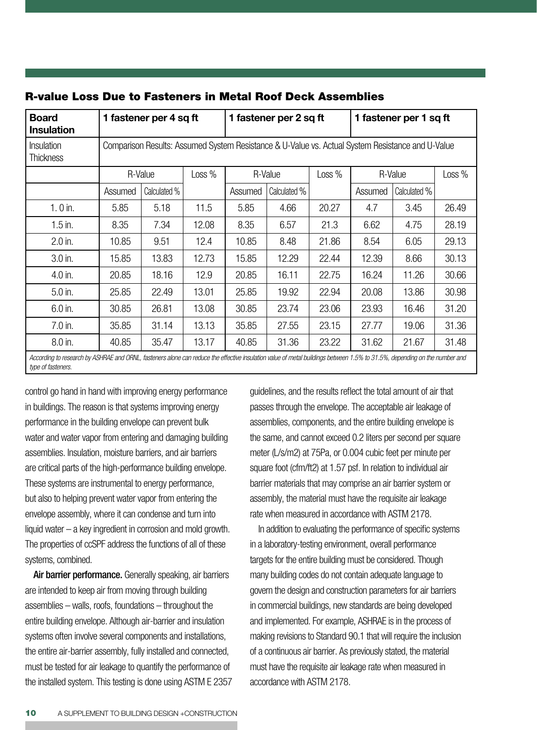| Board<br><b>Insulation</b>                                                                                                                                                                      | 1 fastener per 4 sq ft                                                                           |              | 1 fastener per 2 sq ft |         | 1 fastener per 1 sq ft |        |         |              |        |
|-------------------------------------------------------------------------------------------------------------------------------------------------------------------------------------------------|--------------------------------------------------------------------------------------------------|--------------|------------------------|---------|------------------------|--------|---------|--------------|--------|
| Insulation<br><b>Thickness</b>                                                                                                                                                                  | Comparison Results: Assumed System Resistance & U-Value vs. Actual System Resistance and U-Value |              |                        |         |                        |        |         |              |        |
|                                                                                                                                                                                                 | R-Value                                                                                          |              | Loss %                 | R-Value |                        | Loss % | R-Value |              | Loss % |
|                                                                                                                                                                                                 | Assumed                                                                                          | Calculated % |                        | Assumed | Calculated %           |        | Assumed | Calculated % |        |
| $1.0$ in.                                                                                                                                                                                       | 5.85                                                                                             | 5.18         | 11.5                   | 5.85    | 4.66                   | 20.27  | 4.7     | 3.45         | 26.49  |
| $1.5$ in.                                                                                                                                                                                       | 8.35                                                                                             | 7.34         | 12.08                  | 8.35    | 6.57                   | 21.3   | 6.62    | 4.75         | 28.19  |
| $2.0$ in.                                                                                                                                                                                       | 10.85                                                                                            | 9.51         | 12.4                   | 10.85   | 8.48                   | 21.86  | 8.54    | 6.05         | 29.13  |
| $3.0$ in.                                                                                                                                                                                       | 15.85                                                                                            | 13.83        | 12.73                  | 15.85   | 12.29                  | 22.44  | 12.39   | 8.66         | 30.13  |
| 4.0 in.                                                                                                                                                                                         | 20.85                                                                                            | 18.16        | 12.9                   | 20.85   | 16.11                  | 22.75  | 16.24   | 11.26        | 30.66  |
| 5.0 in.                                                                                                                                                                                         | 25.85                                                                                            | 22.49        | 13.01                  | 25.85   | 19.92                  | 22.94  | 20.08   | 13.86        | 30.98  |
| 6.0 in.                                                                                                                                                                                         | 30.85                                                                                            | 26.81        | 13.08                  | 30.85   | 23.74                  | 23.06  | 23.93   | 16.46        | 31.20  |
| $7.0$ in.                                                                                                                                                                                       | 35.85                                                                                            | 31.14        | 13.13                  | 35.85   | 27.55                  | 23.15  | 27.77   | 19.06        | 31.36  |
| 8.0 in.                                                                                                                                                                                         | 40.85                                                                                            | 35.47        | 13.17                  | 40.85   | 31.36                  | 23.22  | 31.62   | 21.67        | 31.48  |
| According to research by ASHRAE and ORNL, fasteners alone can reduce the effective insulation value of metal buildings between 1.5% to 31.5%, depending on the number and<br>type of fasteners. |                                                                                                  |              |                        |         |                        |        |         |              |        |

#### R-value Loss Due to Fasteners in Metal Roof Deck Assemblies

control go hand in hand with improving energy performance in buildings. The reason is that systems improving energy performance in the building envelope can prevent bulk water and water vapor from entering and damaging building assemblies. Insulation, moisture barriers, and air barriers are critical parts of the high-performance building envelope. These systems are instrumental to energy performance, but also to helping prevent water vapor from entering the envelope assembly, where it can condense and turn into liquid water – a key ingredient in corrosion and mold growth. The properties of ccSPF address the functions of all of these systems, combined.

Air barrier performance. Generally speaking, air barriers are intended to keep air from moving through building assemblies – walls, roofs, foundations – throughout the entire building envelope. Although air-barrier and insulation systems often involve several components and installations, the entire air-barrier assembly, fully installed and connected, must be tested for air leakage to quantify the performance of the installed system. This testing is done using ASTM E 2357 guidelines, and the results reflect the total amount of air that passes through the envelope. The acceptable air leakage of assemblies, components, and the entire building envelope is the same, and cannot exceed 0.2 liters per second per square meter (L/s/m2) at 75Pa, or 0.004 cubic feet per minute per square foot (cfm/ft2) at 1.57 psf. In relation to individual air barrier materials that may comprise an air barrier system or assembly, the material must have the requisite air leakage rate when measured in accordance with ASTM 2178.

In addition to evaluating the performance of specific systems in a laboratory-testing environment, overall performance targets for the entire building must be considered. Though many building codes do not contain adequate language to govern the design and construction parameters for air barriers in commercial buildings, new standards are being developed and implemented. For example, ASHRAE is in the process of making revisions to Standard 90.1 that will require the inclusion of a continuous air barrier. As previously stated, the material must have the requisite air leakage rate when measured in accordance with ASTM 2178.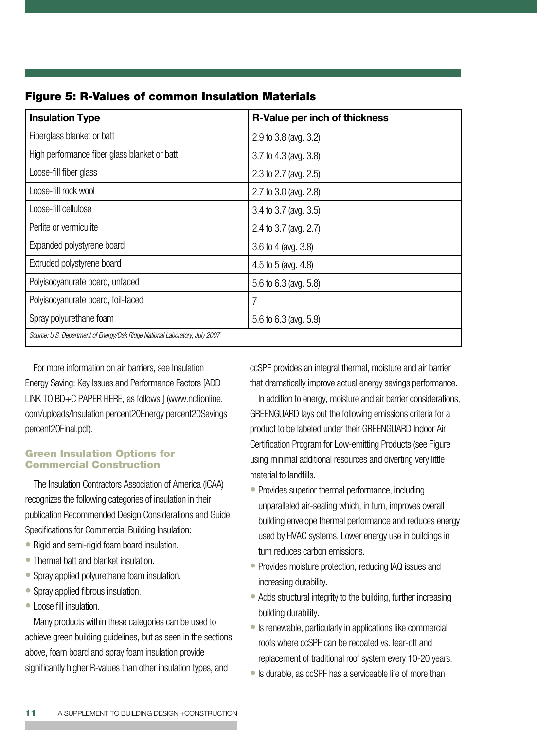| <b>Insulation Type</b>                                                     | R-Value per inch of thickness |
|----------------------------------------------------------------------------|-------------------------------|
| Fiberglass blanket or batt                                                 | 2.9 to 3.8 (avg. 3.2)         |
| High performance fiber glass blanket or batt                               | 3.7 to 4.3 (avg. 3.8)         |
| Loose-fill fiber glass                                                     | 2.3 to 2.7 (avg. 2.5)         |
| Loose-fill rock wool                                                       | 2.7 to 3.0 (avg. 2.8)         |
| Loose-fill cellulose                                                       | 3.4 to 3.7 (avg. 3.5)         |
| Perlite or vermiculite                                                     | 2.4 to 3.7 (avg. 2.7)         |
| Expanded polystyrene board                                                 | 3.6 to 4 (avg. 3.8)           |
| Extruded polystyrene board                                                 | 4.5 to 5 (avg. 4.8)           |
| Polyisocyanurate board, unfaced                                            | 5.6 to 6.3 (avg. 5.8)         |
| Polyisocyanurate board, foil-faced                                         | 7                             |
| Spray polyurethane foam                                                    | 5.6 to 6.3 (avg. 5.9)         |
| Source: U.S. Department of Energy/Oak Ridge National Laboratory, July 2007 |                               |

Figure 5: R-Values of common Insulation Materials

For more information on air barriers, see Insulation Energy Saving: Key Issues and Performance Factors [ADD LINK TO BD+C PAPER HERE, as follows:] (www.ncfionline. com/uploads/Insulation percent20Energy percent20Savings percent20Final.pdf).

#### Green Insulation Options for Commercial Construction

The Insulation Contractors Association of America (ICAA) recognizes the following categories of insulation in their publication Recommended Design Considerations and Guide Specifications for Commercial Building Insulation:

- Rigid and semi-rigid foam board insulation.
- Thermal batt and blanket insulation.
- Spray applied polyurethane foam insulation.
- Spray applied fibrous insulation.
- Loose fill insulation. •

Many products within these categories can be used to achieve green building guidelines, but as seen in the sections above, foam board and spray foam insulation provide significantly higher R-values than other insulation types, and

ccSPF provides an integral thermal, moisture and air barrier that dramatically improve actual energy savings performance.

In addition to energy, moisture and air barrier considerations, GREENGUARD lays out the following emissions criteria for a product to be labeled under their GREENGUARD Indoor Air Certification Program for Low-emitting Products (see Figure using minimal additional resources and diverting very little material to landfills.

- Provides superior thermal performance, including unparalleled air-sealing which, in turn, improves overall building envelope thermal performance and reduces energy used by HVAC systems. Lower energy use in buildings in turn reduces carbon emissions.
- Provides moisture protection, reducing IAQ issues and increasing durability.
- Adds structural integrity to the building, further increasing building durability.
- Is renewable, particularly in applications like commercial roofs where ccSPF can be recoated vs. tear-off and replacement of traditional roof system every 10-20 years.
- Is durable, as ccSPF has a serviceable life of more than •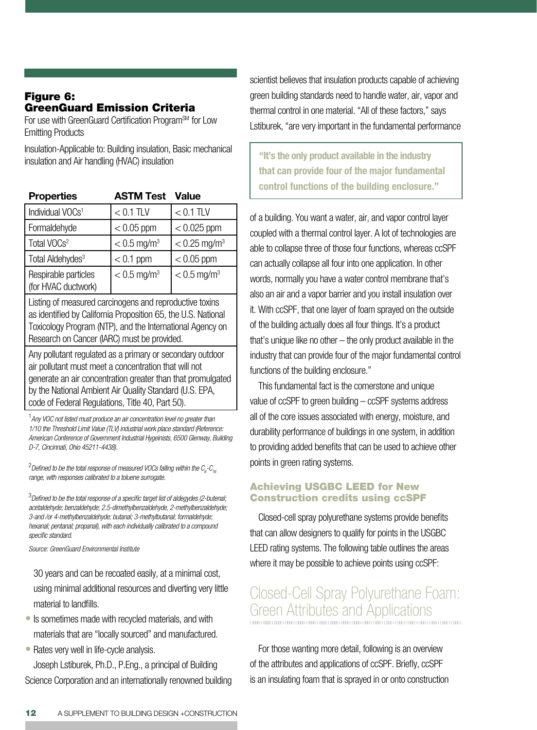#### Figure 6: GreenGuard Emission Criteria

For use with GreenGuard Certification Program<sup>SM</sup> for Low Emitting Products

Insulation-Applicable to: Building insulation, Basic mechanical insulation and Air handling (HVAC) insulation

| <b>Properties</b>                           | <b>ASTM Test</b>          | <b>Value</b>               |
|---------------------------------------------|---------------------------|----------------------------|
| Individual VOCs <sup>1</sup>                | $< 0.1$ TLV               | $< 0.1$ TLV                |
| Formaldehyde                                | $< 0.05$ ppm              | $< 0.025$ ppm              |
| Total VOCs <sup>2</sup>                     | $< 0.5$ mg/m <sup>3</sup> | $< 0.25$ mg/m <sup>3</sup> |
| Total Aldehydes <sup>3</sup>                | $< 0.1$ ppm               | $< 0.05$ ppm               |
| Respirable particles<br>(for HVAC ductwork) | $< 0.5$ mg/m <sup>3</sup> | $< 0.5$ mg/m <sup>3</sup>  |
|                                             |                           |                            |

Listing of measured carcinogens and reproductive toxins as identified by California Proposition 65, the U.S. National Toxicology Program (NTP), and the International Agency on Research on Cancer (IARC) must be provided.

Any pollutant regulated as a primary or secondary outdoor air pollutant must meet a concentration that will not generate an air concentration greater than that promulgated by the National Ambient Air Quality Standard (U.S. EPA, code of Federal Regulations, Title 40, Part 50).

1 *Any VOC not listed must produce an air concentration level no greater than 1/10 the Threshold Limit Value (TLV) industrial work place standard (Reference: American Conference of Government Industrial Hygeinists, 6500 Glenway, Building D-7, Cincinnati, Ohio 45211-4438).*

 $^2$ Defined to be the total response of measured VOCs falling within the  $\mathcal{C}_{_{6}}\text{-}\mathcal{C}_{_{16}}$ *range, with responses calibrated to a toluene surrogate.* 

3 *Defined to be the total response of a specific target list of aldegydes (2-butenal; acetaldehyde; benzaldehyde; 2.5-dimethylbenzaldehyde, 2-methylbenzaldehyde; 3-and /or 4-methylbenzaldehyde; butanal; 3-methylbutanal; formaldehyde; hexanal; pentanal; propanal), with each individually calibrated to a compound specific standard.*

*Source: GreenGuard Environmental Institute*

30 years and can be recoated easily, at a minimal cost, using minimal additional resources and diverting very little material to landfills.

- Is sometimes made with recycled materials, and with materials that are "locally sourced" and manufactured.
- Rates very well in life-cycle analysis.

Joseph Lstiburek, Ph.D., P.Eng., a principal of Building Science Corporation and an internationally renowned building scientist believes that insulation products capable of achieving green building standards need to handle water, air, vapor and thermal control in one material. "All of these factors," says Lstiburek, "are very important in the fundamental performance

**"It's the only product available in the industry that can provide four of the major fundamental control functions of the building enclosure."**

of a building. You want a water, air, and vapor control layer coupled with a thermal control layer. A lot of technologies are able to collapse three of those four functions, whereas ccSPF can actually collapse all four into one application. In other words, normally you have a water control membrane that's also an air and a vapor barrier and you install insulation over it. With ccSPF, that one layer of foam sprayed on the outside of the building actually does all four things. It's a product that's unique like no other – the only product available in the industry that can provide four of the major fundamental control functions of the building enclosure."

This fundamental fact is the cornerstone and unique value of ccSPF to green building – ccSPF systems address all of the core issues associated with energy, moisture, and durability performance of buildings in one system, in addition to providing added benefits that can be used to achieve other points in green rating systems.

### Achieving USGBC LEED for New Construction credits using ccSPF

Closed-cell spray polyurethane systems provide benefits that can allow designers to qualify for points in the USGBC LEED rating systems. The following table outlines the areas where it may be possible to achieve points using ccSPF:

# Closed-Cell Spray Polyurethane Foam: Green Attributes and Applications

For those wanting more detail, following is an overview of the attributes and applications of ccSPF. Briefly, ccSPF is an insulating foam that is sprayed in or onto construction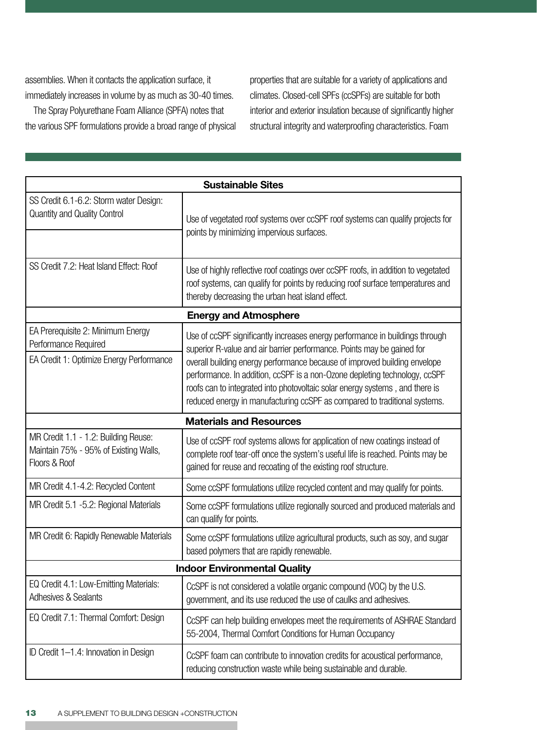assemblies. When it contacts the application surface, it immediately increases in volume by as much as 30-40 times.

The Spray Polyurethane Foam Alliance (SPFA) notes that the various SPF formulations provide a broad range of physical properties that are suitable for a variety of applications and climates. Closed-cell SPFs (ccSPFs) are suitable for both interior and exterior insulation because of significantly higher structural integrity and waterproofing characteristics. Foam

| <b>Sustainable Sites</b>                                                                              |                                                                                                                                                                                                                                                                                                                                                                                                                                                                                |  |  |  |
|-------------------------------------------------------------------------------------------------------|--------------------------------------------------------------------------------------------------------------------------------------------------------------------------------------------------------------------------------------------------------------------------------------------------------------------------------------------------------------------------------------------------------------------------------------------------------------------------------|--|--|--|
| SS Credit 6.1-6.2: Storm water Design:<br>Quantity and Quality Control                                | Use of vegetated roof systems over ccSPF roof systems can qualify projects for<br>points by minimizing impervious surfaces.                                                                                                                                                                                                                                                                                                                                                    |  |  |  |
| SS Credit 7.2: Heat Island Effect: Roof                                                               | Use of highly reflective roof coatings over ccSPF roofs, in addition to vegetated<br>roof systems, can qualify for points by reducing roof surface temperatures and<br>thereby decreasing the urban heat island effect.                                                                                                                                                                                                                                                        |  |  |  |
|                                                                                                       | <b>Energy and Atmosphere</b>                                                                                                                                                                                                                                                                                                                                                                                                                                                   |  |  |  |
| EA Prerequisite 2: Minimum Energy<br>Performance Required<br>EA Credit 1: Optimize Energy Performance | Use of ccSPF significantly increases energy performance in buildings through<br>superior R-value and air barrier performance. Points may be gained for<br>overall building energy performance because of improved building envelope<br>performance. In addition, ccSPF is a non-Ozone depleting technology, ccSPF<br>roofs can to integrated into photovoltaic solar energy systems, and there is<br>reduced energy in manufacturing ccSPF as compared to traditional systems. |  |  |  |
| <b>Materials and Resources</b>                                                                        |                                                                                                                                                                                                                                                                                                                                                                                                                                                                                |  |  |  |
| MR Credit 1.1 - 1.2: Building Reuse:<br>Maintain 75% - 95% of Existing Walls,<br>Floors & Roof        | Use of ccSPF roof systems allows for application of new coatings instead of<br>complete roof tear-off once the system's useful life is reached. Points may be<br>gained for reuse and recoating of the existing roof structure.                                                                                                                                                                                                                                                |  |  |  |
| MR Credit 4.1-4.2: Recycled Content                                                                   | Some ccSPF formulations utilize recycled content and may qualify for points.                                                                                                                                                                                                                                                                                                                                                                                                   |  |  |  |
| MR Credit 5.1 -5.2: Regional Materials                                                                | Some ccSPF formulations utilize regionally sourced and produced materials and<br>can qualify for points.                                                                                                                                                                                                                                                                                                                                                                       |  |  |  |
| MR Credit 6: Rapidly Renewable Materials                                                              | Some ccSPF formulations utilize agricultural products, such as soy, and sugar<br>based polymers that are rapidly renewable.                                                                                                                                                                                                                                                                                                                                                    |  |  |  |
| <b>Indoor Environmental Quality</b>                                                                   |                                                                                                                                                                                                                                                                                                                                                                                                                                                                                |  |  |  |
| EQ Credit 4.1: Low-Emitting Materials:<br>Adhesives & Sealants                                        | CcSPF is not considered a volatile organic compound (VOC) by the U.S.<br>government, and its use reduced the use of caulks and adhesives.                                                                                                                                                                                                                                                                                                                                      |  |  |  |
| EQ Credit 7.1: Thermal Comfort: Design                                                                | CcSPF can help building envelopes meet the requirements of ASHRAE Standard<br>55-2004, Thermal Comfort Conditions for Human Occupancy                                                                                                                                                                                                                                                                                                                                          |  |  |  |
| ID Credit 1-1.4: Innovation in Design                                                                 | CcSPF foam can contribute to innovation credits for acoustical performance,<br>reducing construction waste while being sustainable and durable.                                                                                                                                                                                                                                                                                                                                |  |  |  |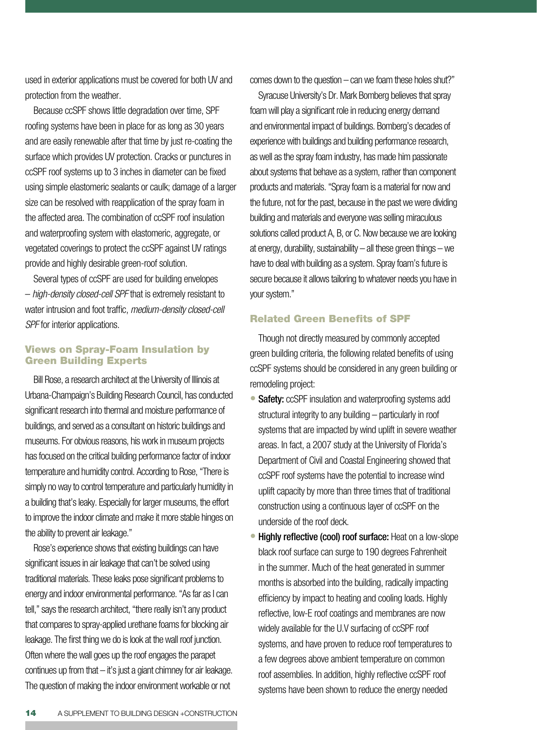used in exterior applications must be covered for both UV and protection from the weather.

Because ccSPF shows little degradation over time, SPF roofing systems have been in place for as long as 30 years and are easily renewable after that time by just re-coating the surface which provides UV protection. Cracks or punctures in ccSPF roof systems up to 3 inches in diameter can be fixed using simple elastomeric sealants or caulk; damage of a larger size can be resolved with reapplication of the spray foam in the affected area. The combination of ccSPF roof insulation and waterproofing system with elastomeric, aggregate, or vegetated coverings to protect the ccSPF against UV ratings provide and highly desirable green-roof solution.

Several types of ccSPF are used for building envelopes – *high-density closed-cell SPF* that is extremely resistant to water intrusion and foot traffic, *medium-density closed-cell SPF* for interior applications.

#### Views on Spray-Foam Insulation by Green Building Experts

Bill Rose, a research architect at the University of Illinois at Urbana-Champaign's Building Research Council, has conducted significant research into thermal and moisture performance of buildings, and served as a consultant on historic buildings and museums. For obvious reasons, his work in museum projects has focused on the critical building performance factor of indoor temperature and humidity control. According to Rose, "There is simply no way to control temperature and particularly humidity in a building that's leaky. Especially for larger museums, the effort to improve the indoor climate and make it more stable hinges on the ability to prevent air leakage."

Rose's experience shows that existing buildings can have significant issues in air leakage that can't be solved using traditional materials. These leaks pose significant problems to energy and indoor environmental performance. "As far as I can tell," says the research architect, "there really isn't any product that compares to spray-applied urethane foams for blocking air leakage. The first thing we do is look at the wall roof junction. Often where the wall goes up the roof engages the parapet continues up from that – it's just a giant chimney for air leakage. The question of making the indoor environment workable or not

comes down to the question – can we foam these holes shut?"

Syracuse University's Dr. Mark Bomberg believes that spray foam will play a significant role in reducing energy demand and environmental impact of buildings. Bomberg's decades of experience with buildings and building performance research, as well as the spray foam industry, has made him passionate about systems that behave as a system, rather than component products and materials. "Spray foam is a material for now and the future, not for the past, because in the past we were dividing building and materials and everyone was selling miraculous solutions called product A, B, or C. Now because we are looking at energy, durability, sustainability – all these green things – we have to deal with building as a system. Spray foam's future is secure because it allows tailoring to whatever needs you have in your system."

#### Related Green Benefits of SPF

Though not directly measured by commonly accepted green building criteria, the following related benefits of using ccSPF systems should be considered in any green building or remodeling project:

- Safety: ccSPF insulation and waterproofing systems add structural integrity to any building – particularly in roof systems that are impacted by wind uplift in severe weather areas. In fact, a 2007 study at the University of Florida's Department of Civil and Coastal Engineering showed that ccSPF roof systems have the potential to increase wind uplift capacity by more than three times that of traditional construction using a continuous layer of ccSPF on the underside of the roof deck.
- Highly reflective (cool) roof surface: Heat on a low-slope black roof surface can surge to 190 degrees Fahrenheit in the summer. Much of the heat generated in summer months is absorbed into the building, radically impacting efficiency by impact to heating and cooling loads. Highly reflective, low-E roof coatings and membranes are now widely available for the U.V surfacing of ccSPF roof systems, and have proven to reduce roof temperatures to a few degrees above ambient temperature on common roof assemblies. In addition, highly reflective ccSPF roof systems have been shown to reduce the energy needed •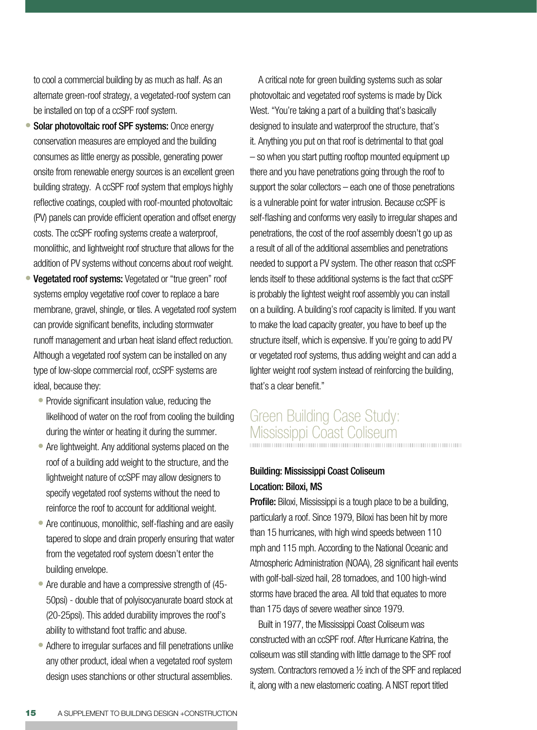to cool a commercial building by as much as half. As an alternate green-roof strategy, a vegetated-roof system can be installed on top of a ccSPF roof system.

- Solar photovoltaic roof SPF systems: Once energy conservation measures are employed and the building consumes as little energy as possible, generating power onsite from renewable energy sources is an excellent green building strategy. A ccSPF roof system that employs highly reflective coatings, coupled with roof-mounted photovoltaic (PV) panels can provide efficient operation and offset energy costs. The ccSPF roofing systems create a waterproof, monolithic, and lightweight roof structure that allows for the addition of PV systems without concerns about roof weight.  $\bullet$
- Vegetated roof systems: Vegetated or "true green" roof systems employ vegetative roof cover to replace a bare membrane, gravel, shingle, or tiles. A vegetated roof system can provide significant benefits, including stormwater runoff management and urban heat island effect reduction. Although a vegetated roof system can be installed on any type of low-slope commercial roof, ccSPF systems are ideal, because they:
	- Provide significant insulation value, reducing the likelihood of water on the roof from cooling the building during the winter or heating it during the summer.
	- Are lightweight. Any additional systems placed on the roof of a building add weight to the structure, and the lightweight nature of ccSPF may allow designers to specify vegetated roof systems without the need to reinforce the roof to account for additional weight.
	- Are continuous, monolithic, self-flashing and are easily tapered to slope and drain properly ensuring that water from the vegetated roof system doesn't enter the building envelope.
	- Are durable and have a compressive strength of (45-50psi) - double that of polyisocyanurate board stock at (20-25psi). This added durability improves the roof's ability to withstand foot traffic and abuse.
	- Adhere to irregular surfaces and fill penetrations unlike any other product, ideal when a vegetated roof system design uses stanchions or other structural assemblies.

A critical note for green building systems such as solar photovoltaic and vegetated roof systems is made by Dick West. "You're taking a part of a building that's basically designed to insulate and waterproof the structure, that's it. Anything you put on that roof is detrimental to that goal – so when you start putting rooftop mounted equipment up there and you have penetrations going through the roof to support the solar collectors – each one of those penetrations is a vulnerable point for water intrusion. Because ccSPF is self-flashing and conforms very easily to irregular shapes and penetrations, the cost of the roof assembly doesn't go up as a result of all of the additional assemblies and penetrations needed to support a PV system. The other reason that ccSPF lends itself to these additional systems is the fact that ccSPF is probably the lightest weight roof assembly you can install on a building. A building's roof capacity is limited. If you want to make the load capacity greater, you have to beef up the structure itself, which is expensive. If you're going to add PV or vegetated roof systems, thus adding weight and can add a lighter weight roof system instead of reinforcing the building, that's a clear benefit."

# Green Building Case Study: Mississippi Coast Coliseum

### Building: Mississippi Coast Coliseum Location: Biloxi, MS

**Profile:** Biloxi, Mississippi is a tough place to be a building, particularly a roof. Since 1979, Biloxi has been hit by more than 15 hurricanes, with high wind speeds between 110 mph and 115 mph. According to the National Oceanic and Atmospheric Administration (NOAA), 28 significant hail events with golf-ball-sized hail, 28 tornadoes, and 100 high-wind storms have braced the area. All told that equates to more than 175 days of severe weather since 1979.

Built in 1977, the Mississippi Coast Coliseum was constructed with an ccSPF roof. After Hurricane Katrina, the coliseum was still standing with little damage to the SPF roof system. Contractors removed a ½ inch of the SPF and replaced it, along with a new elastomeric coating. A NIST report titled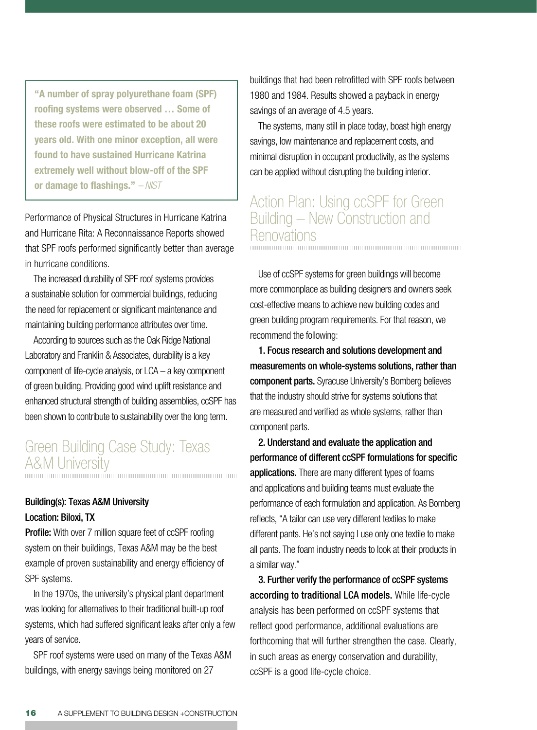**"A number of spray polyurethane foam (SPF) roofing systems were observed … Some of these roofs were estimated to be about 20 years old. With one minor exception, all were found to have sustained Hurricane Katrina extremely well without blow-off of the SPF or damage to flashings."** *– NIST*

Performance of Physical Structures in Hurricane Katrina and Hurricane Rita: A Reconnaissance Reports showed that SPF roofs performed significantly better than average in hurricane conditions.

The increased durability of SPF roof systems provides a sustainable solution for commercial buildings, reducing the need for replacement or significant maintenance and maintaining building performance attributes over time.

According to sources such as the Oak Ridge National Laboratory and Franklin & Associates, durability is a key component of life-cycle analysis, or LCA – a key component of green building. Providing good wind uplift resistance and enhanced structural strength of building assemblies, ccSPF has been shown to contribute to sustainability over the long term.

# Green Building Case Study: Texas A&M University

### Building(s): Texas A&M University Location: Biloxi, TX

**Profile:** With over 7 million square feet of ccSPF roofing system on their buildings, Texas A&M may be the best example of proven sustainability and energy efficiency of SPF systems.

In the 1970s, the university's physical plant department was looking for alternatives to their traditional built-up roof systems, which had suffered significant leaks after only a few years of service.

SPF roof systems were used on many of the Texas A&M buildings, with energy savings being monitored on 27

buildings that had been retrofitted with SPF roofs between 1980 and 1984. Results showed a payback in energy savings of an average of 4.5 years.

The systems, many still in place today, boast high energy savings, low maintenance and replacement costs, and minimal disruption in occupant productivity, as the systems can be applied without disrupting the building interior.

### Action Plan: Using ccSPF for Green Building – New Construction and Renovations

Use of ccSPF systems for green buildings will become more commonplace as building designers and owners seek cost-effective means to achieve new building codes and green building program requirements. For that reason, we recommend the following:

1. Focus research and solutions development and measurements on whole-systems solutions, rather than component parts. Syracuse University's Bomberg believes that the industry should strive for systems solutions that are measured and verified as whole systems, rather than component parts.

2. Understand and evaluate the application and performance of different ccSPF formulations for specific applications. There are many different types of foams and applications and building teams must evaluate the performance of each formulation and application. As Bomberg reflects, "A tailor can use very different textiles to make different pants. He's not saying I use only one textile to make all pants. The foam industry needs to look at their products in a similar way."

3. Further verify the performance of ccSPF systems according to traditional LCA models. While life-cycle analysis has been performed on ccSPF systems that reflect good performance, additional evaluations are forthcoming that will further strengthen the case. Clearly, in such areas as energy conservation and durability, ccSPF is a good life-cycle choice.